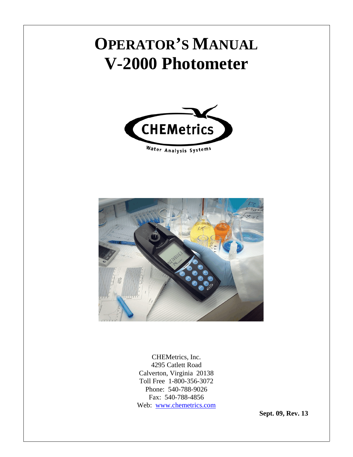# **OPERATOR'S MANUAL V-2000 Photometer**





CHEMetrics, Inc. 4295 Catlett Road Calverton, Virginia 20138 Toll Free 1-800-356-3072 Phone: 540-788-9026 Fax: 540-788-4856 Web: www.chemetrics.com

**Sept. 09, Rev. 13**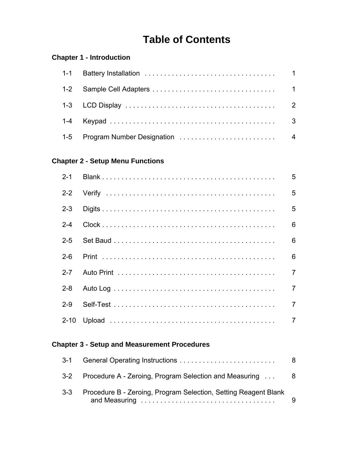### **Table of Contents**

#### **Chapter 1 - Introduction**

#### **Chapter 2 - Setup Menu Functions**

| $2 - 1$ | 5              |
|---------|----------------|
|         | 5              |
| $2 - 3$ | 5              |
| $2 - 4$ | 6              |
| $2 - 5$ | 6              |
| $2-6$   | 6              |
| $2 - 7$ | $\overline{7}$ |
| $2 - 8$ | $\overline{7}$ |
| $2-9$   | $\overline{7}$ |
|         | $\overline{7}$ |

#### **Chapter 3 - Setup and Measurement Procedures**

| $3 - 1$ |                                                                 | 8   |
|---------|-----------------------------------------------------------------|-----|
|         | 3-2 Procedure A - Zeroing, Program Selection and Measuring      | - 8 |
| $3 - 3$ | Procedure B - Zeroing, Program Selection, Setting Reagent Blank | 9   |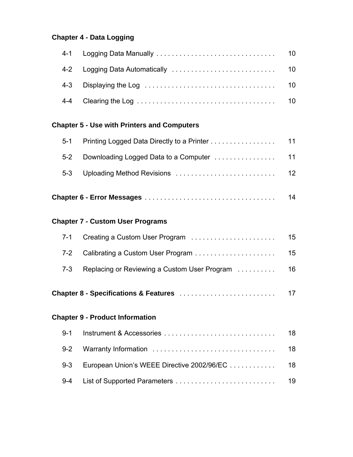#### **Chapter 4 - Data Logging**

#### **Chapter 5 - Use with Printers and Computers**

|     | 14 |
|-----|----|
|     | 12 |
|     |    |
| 5-1 |    |

#### **Chapter 7 - Custom User Programs**

|  | 15 |
|--|----|
|  | 15 |
|  |    |

**Chapter 8 - Specifications & Features** . . . . . . . . . . . . . . . . . . . . . . . . . 17

#### **Chapter 9 - Product Information**

|                                                   | 18 |
|---------------------------------------------------|----|
|                                                   |    |
| 9-3 European Union's WEEE Directive 2002/96/EC 18 |    |
|                                                   |    |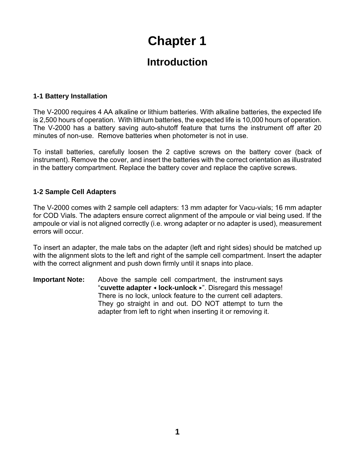### **Introduction**

#### **1-1 Battery Installation**

The V-2000 requires 4 AA alkaline or lithium batteries. With alkaline batteries, the expected life is 2,500 hours of operation. With lithium batteries, the expected life is 10,000 hours of operation. The V-2000 has a battery saving auto-shutoff feature that turns the instrument off after 20 minutes of non-use. Remove batteries when photometer is not in use.

To install batteries, carefully loosen the 2 captive screws on the battery cover (back of instrument). Remove the cover, and insert the batteries with the correct orientation as illustrated in the battery compartment. Replace the battery cover and replace the captive screws.

#### **1-2 Sample Cell Adapters**

The V-2000 comes with 2 sample cell adapters: 13 mm adapter for Vacu-vials; 16 mm adapter for COD Vials. The adapters ensure correct alignment of the ampoule or vial being used. If the ampoule or vial is not aligned correctly (i.e. wrong adapter or no adapter is used), measurement errors will occur.

To insert an adapter, the male tabs on the adapter (left and right sides) should be matched up with the alignment slots to the left and right of the sample cell compartment. Insert the adapter with the correct alignment and push down firmly until it snaps into place.

**Important Note:** Above the sample cell compartment, the instrument says "**cuvette adapter** = **lock-unlock** <". Disregard this message! There is no lock, unlock feature to the current cell adapters. They go straight in and out. DO NOT attempt to turn the adapter from left to right when inserting it or removing it.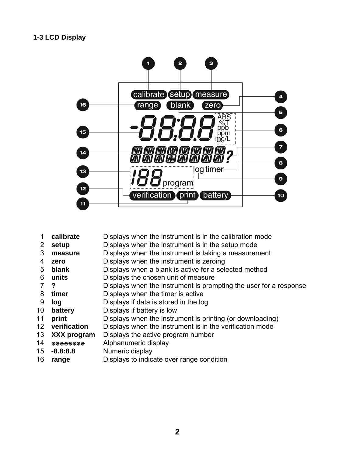

- **calibrate** Displays when the instrument is in the calibration mode
- **setup** Displays when the instrument is in the setup mode
- **measure** Displays when the instrument is taking a measurement
- **zero** Displays when the instrument is zeroing
- **blank** Displays when a blank is active for a selected method
- **units** Displays the chosen unit of measure
- **?** Displays when the instrument is prompting the user for a response
- **timer** Displays when the timer is active
- **log** Displays if data is stored in the log
- **battery** Displays if battery is low
- **print** Displays when the instrument is printing (or downloading)
- **verification** Displays when the instrument is in the verification mode
- **XXX program** Displays the active program number
- **SEPEE EXALUATE Alphanumeric display**
- 15 -**8.8:8.8** Numeric display
- **range** Displays to indicate over range condition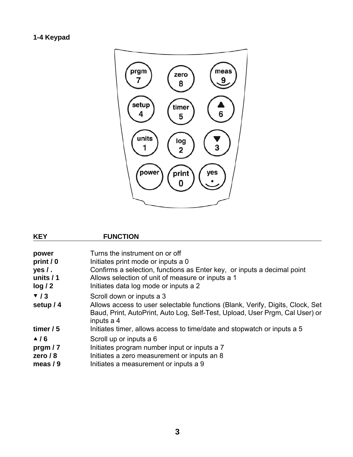### **1-4 Keypad**



| <b>KEY</b>       | <b>FUNCTION</b>                                                                                                                                                             |
|------------------|-----------------------------------------------------------------------------------------------------------------------------------------------------------------------------|
| power            | Turns the instrument on or off                                                                                                                                              |
| print / 0        | Initiates print mode or inputs a 0                                                                                                                                          |
| $yes/$ .         | Confirms a selection, functions as Enter key, or inputs a decimal point                                                                                                     |
| units $/1$       | Allows selection of unit of measure or inputs a 1                                                                                                                           |
| log/2            | Initiates data log mode or inputs a 2                                                                                                                                       |
| $\mathbf{v}$ / 3 | Scroll down or inputs a 3                                                                                                                                                   |
| setup / 4        | Allows access to user selectable functions (Blank, Verify, Digits, Clock, Set<br>Baud, Print, AutoPrint, Auto Log, Self-Test, Upload, User Prgm, Cal User) or<br>inputs a 4 |
| timer $/5$       | Initiates timer, allows access to time/date and stopwatch or inputs a 5                                                                                                     |
| $\triangle$ /6   | Scroll up or inputs a 6                                                                                                                                                     |
| prgm $/7$        | Initiates program number input or inputs a 7                                                                                                                                |
| zero $/ 8$       | Initiates a zero measurement or inputs an 8                                                                                                                                 |
| meas $/ 9$       | Initiates a measurement or inputs a 9                                                                                                                                       |
|                  |                                                                                                                                                                             |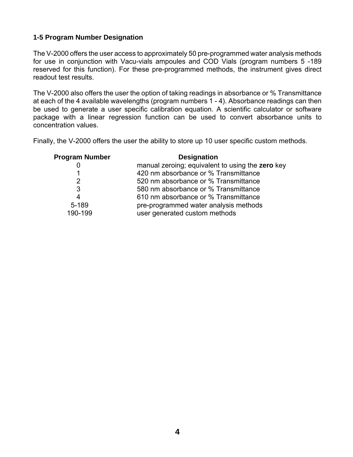#### **1-5 Program Number Designation**

The V-2000 offers the user access to approximately 50 pre-programmed water analysis methods for use in conjunction with Vacu-vials ampoules and COD Vials (program numbers 5 -189 reserved for this function). For these pre-programmed methods, the instrument gives direct readout test results.

The V-2000 also offers the user the option of taking readings in absorbance or % Transmittance at each of the 4 available wavelengths (program numbers 1 - 4). Absorbance readings can then be used to generate a user specific calibration equation. A scientific calculator or software package with a linear regression function can be used to convert absorbance units to concentration values.

Finally, the V-2000 offers the user the ability to store up 10 user specific custom methods.

| <b>Program Number</b> | <b>Designation</b>                               |
|-----------------------|--------------------------------------------------|
|                       | manual zeroing; equivalent to using the zero key |
|                       | 420 nm absorbance or % Transmittance             |
| $\overline{2}$        | 520 nm absorbance or % Transmittance             |
| 3                     | 580 nm absorbance or % Transmittance             |
| 4                     | 610 nm absorbance or % Transmittance             |
| 5-189                 | pre-programmed water analysis methods            |
| 190-199               | user generated custom methods                    |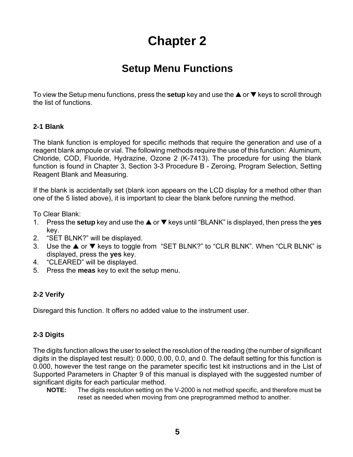### **Setup Menu Functions**

To view the Setup menu functions, press the **setup** key and use the  $\triangle$  or  $\nabla$  keys to scroll through the list of functions.

#### **2-1 Blank**

The blank function is employed for specific methods that require the generation and use of a reagent blank ampoule or vial. The following methods require the use of this function: Aluminum, Chloride, COD, Fluoride, Hydrazine, Ozone 2 (K-7413). The procedure for using the blank function is found in Chapter 3, Section 3-3 Procedure B - Zeroing, Program Selection, Setting Reagent Blank and Measuring.

If the blank is accidentally set (blank icon appears on the LCD display for a method other than one of the 5 listed above), it is important to clear the blank before running the method.

To Clear Blank:

- 1. Press the **setup** key and use the **▲** or ▼ keys until "BLANK" is displayed, then press the **yes** key.
- 2. "SET BLNK?" will be displayed.
- 3. Use the ▲ or ▼ keys to toggle from "SET BLNK?" to "CLR BLNK". When "CLR BLNK" is displayed, press the **yes** key.
- 4. "CLEARED" will be displayed.
- 5. Press the **meas** key to exit the setup menu.

#### **2-2 Verify**

Disregard this function. It offers no added value to the instrument user.

#### **2-3 Digits**

The digits function allows the user to select the resolution of the reading (the number of significant digits in the displayed test result): 0.000, 0.00, 0.0, and 0. The default setting for this function is 0.000, however the test range on the parameter specific test kit instructions and in the List of Supported Parameters in Chapter 9 of this manual is displayed with the suggested number of significant digits for each particular method.

**NOTE:** The digits resolution setting on the V-2000 is not method specific, and therefore must be reset as needed when moving from one preprogrammed method to another.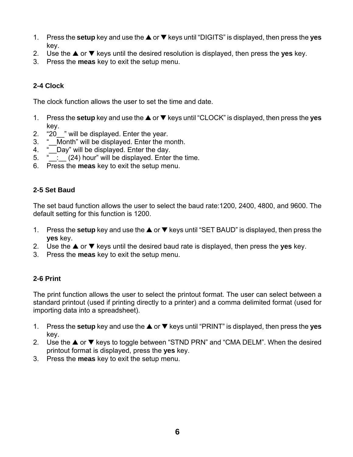- 1. Press the **setup** key and use the **▲** or ▼ keys until "DIGITS" is displayed, then press the **yes** key.
- 2. Use the  $\triangle$  or  $\nabla$  keys until the desired resolution is displayed, then press the **yes** key.
- 3. Press the **meas** key to exit the setup menu.

#### **2-4 Clock**

The clock function allows the user to set the time and date.

- 1. Press the **setup** key and use the **▲** or ▼ keys until "CLOCK" is displayed, then press the **yes** key.
- 2. "20 " will be displayed. Enter the year.
- 3. " Month" will be displayed. Enter the month.
- 4. " Day" will be displayed. Enter the day.
- $\overline{5}$ .  $\overline{2}$  (24) hour" will be displayed. Enter the time.
- 6. Press the **meas** key to exit the setup menu.

#### **2-5 Set Baud**

The set baud function allows the user to select the baud rate:1200, 2400, 4800, and 9600. The default setting for this function is 1200.

- 1. Press the **setup** key and use the **▲** or ▼ keys until "SET BAUD" is displayed, then press the **yes** key.
- 2. Use the  $\triangle$  or  $\nabla$  keys until the desired baud rate is displayed, then press the **yes** key.
- 3. Press the **meas** key to exit the setup menu.

#### **2-6 Print**

The print function allows the user to select the printout format. The user can select between a standard printout (used if printing directly to a printer) and a comma delimited format (used for importing data into a spreadsheet).

- 1. Press the **setup** key and use the **▲** or ▼ keys until "PRINT" is displayed, then press the **yes** key.
- 2. Use the  $\triangle$  or  $\nabla$  keys to toggle between "STND PRN" and "CMA DELM". When the desired printout format is displayed, press the **yes** key.
- 3. Press the **meas** key to exit the setup menu.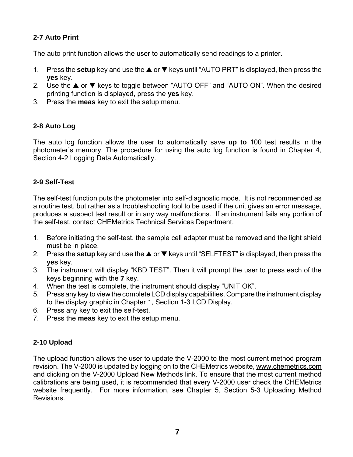#### **2-7 Auto Print**

The auto print function allows the user to automatically send readings to a printer.

- 1. Press the **setup** key and use the **▲** or ▼ keys until "AUTO PRT" is displayed, then press the **yes** key.
- 2. Use the  $\triangle$  or  $\nabla$  keys to toggle between "AUTO OFF" and "AUTO ON". When the desired printing function is displayed, press the **yes** key.
- 3. Press the **meas** key to exit the setup menu.

#### **2-8 Auto Log**

The auto log function allows the user to automatically save **up to** 100 test results in the photometer's memory. The procedure for using the auto log function is found in Chapter 4, Section 4-2 Logging Data Automatically.

#### **2-9 Self-Test**

The self-test function puts the photometer into self-diagnostic mode. It is not recommended as a routine test, but rather as a troubleshooting tool to be used if the unit gives an error message, produces a suspect test result or in any way malfunctions. If an instrument fails any portion of the self-test, contact CHEMetrics Technical Services Department.

- 1. Before initiating the self-test, the sample cell adapter must be removed and the light shield must be in place.
- 2. Press the **setup** key and use the  $\triangle$  or  $\nabla$  keys until "SELFTEST" is displayed, then press the **yes** key.
- 3. The instrument will display "KBD TEST". Then it will prompt the user to press each of the keys beginning with the **7** key.
- 4. When the test is complete, the instrument should display "UNIT OK".
- 5. Press any key to view the complete LCD display capabilities. Compare the instrument display to the display graphic in Chapter 1, Section 1-3 LCD Display.
- 6. Press any key to exit the self-test.
- 7. Press the **meas** key to exit the setup menu.

#### **2-10 Upload**

The upload function allows the user to update the V-2000 to the most current method program revision. The V-2000 is updated by logging on to the CHEMetrics website, www.chemetrics.com and clicking on the V-2000 Upload New Methods link. To ensure that the most current method calibrations are being used, it is recommended that every V-2000 user check the CHEMetrics website frequently. For more information, see Chapter 5, Section 5-3 Uploading Method Revisions.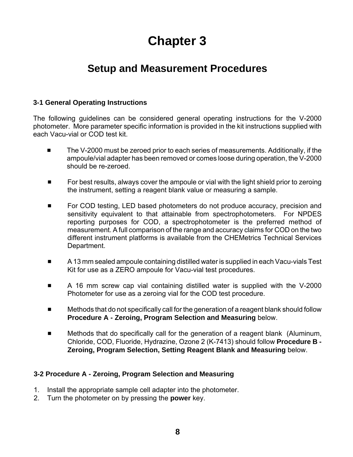### **Setup and Measurement Procedures**

#### **3-1 General Operating Instructions**

The following guidelines can be considered general operating instructions for the V-2000 photometer. More parameter specific information is provided in the kit instructions supplied with each Vacu-vial or COD test kit.

- The V-2000 must be zeroed prior to each series of measurements. Additionally, if the ampoule/vial adapter has been removed or comes loose during operation, the V-2000 should be re-zeroed.
- $\blacksquare$  For best results, always cover the ampoule or vial with the light shield prior to zeroing the instrument, setting a reagent blank value or measuring a sample.
- For COD testing, LED based photometers do not produce accuracy, precision and sensitivity equivalent to that attainable from spectrophotometers. For NPDES reporting purposes for COD, a spectrophotometer is the preferred method of measurement. A full comparison of the range and accuracy claims for COD on the two different instrument platforms is available from the CHEMetrics Technical Services Department.
- # A 13 mm sealed ampoule containing distilled water is supplied in each Vacu-vials Test Kit for use as a ZERO ampoule for Vacu-vial test procedures.
- A 16 mm screw cap vial containing distilled water is supplied with the V-2000 Photometer for use as a zeroing vial for the COD test procedure.
- $\blacksquare$  Methods that do not specifically call for the generation of a reagent blank should follow **Procedure A - Zeroing, Program Selection and Measuring** below.
- **EXED** Methods that do specifically call for the generation of a reagent blank (Aluminum, Chloride, COD, Fluoride, Hydrazine, Ozone 2 (K-7413) should follow **Procedure B - Zeroing, Program Selection, Setting Reagent Blank and Measuring** below.

#### **3-2 Procedure A - Zeroing, Program Selection and Measuring**

- 1. Install the appropriate sample cell adapter into the photometer.
- 2. Turn the photometer on by pressing the **power** key.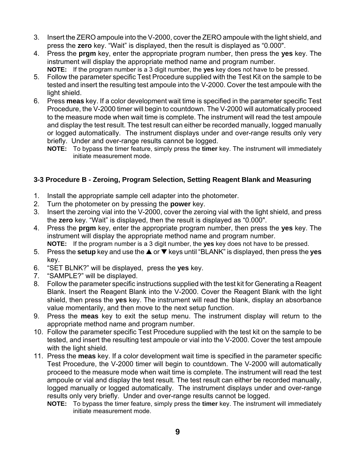- 3. Insert the ZERO ampoule into the V-2000, cover the ZERO ampoule with the light shield, and press the **zero** key. "Wait" is displayed, then the result is displayed as "0.000".
- 4. Press the **prgm** key, enter the appropriate program number, then press the **yes** key. The instrument will display the appropriate method name and program number. **NOTE:** If the program number is a 3 digit number, the **yes** key does not have to be pressed.
- 5. Follow the parameter specific Test Procedure supplied with the Test Kit on the sample to be tested and insert the resulting test ampoule into the V-2000. Cover the test ampoule with the light shield.
- 6. Press **meas** key. If a color development wait time is specified in the parameter specific Test Procedure, the V-2000 timer will begin to countdown. The V-2000 will automatically proceed to the measure mode when wait time is complete. The instrument will read the test ampoule and display the test result. The test result can either be recorded manually, logged manually or logged automatically. The instrument displays under and over-range results only very briefly. Under and over-range results cannot be logged.
	- **NOTE:** To bypass the timer feature, simply press the **timer** key. The instrument will immediately initiate measurement mode.

#### **3-3 Procedure B - Zeroing, Program Selection, Setting Reagent Blank and Measuring**

- 1. Install the appropriate sample cell adapter into the photometer.
- 2. Turn the photometer on by pressing the **power** key.
- 3. Insert the zeroing vial into the V-2000, cover the zeroing vial with the light shield, and press the **zero** key. "Wait" is displayed, then the result is displayed as "0.000".
- 4. Press the **prgm** key, enter the appropriate program number, then press the **yes** key. The instrument will display the appropriate method name and program number. **NOTE:** If the program number is a 3 digit number, the **yes** key does not have to be pressed.
- 5. Press the **setup** key and use the **▲** or ▼ keys until "BLANK" is displayed, then press the **yes** key.
- 6. "SET BLNK?" will be displayed, press the **yes** key.
- 7. "SAMPLE?" will be displayed.
- 8. Follow the parameter specific instructions supplied with the test kit for Generating a Reagent Blank. Insert the Reagent Blank into the V-2000. Cover the Reagent Blank with the light shield, then press the **yes** key. The instrument will read the blank, display an absorbance value momentarily, and then move to the next setup function.
- 9. Press the **meas** key to exit the setup menu. The instrument display will return to the appropriate method name and program number.
- 10. Follow the parameter specific Test Procedure supplied with the test kit on the sample to be tested, and insert the resulting test ampoule or vial into the V-2000. Cover the test ampoule with the light shield.
- 11. Press the **meas** key. If a color development wait time is specified in the parameter specific Test Procedure, the V-2000 timer will begin to countdown. The V-2000 will automatically proceed to the measure mode when wait time is complete. The instrument will read the test ampoule or vial and display the test result. The test result can either be recorded manually, logged manually or logged automatically. The instrument displays under and over-range results only very briefly. Under and over-range results cannot be logged.
	- **NOTE:** To bypass the timer feature, simply press the **timer** key. The instrument will immediately initiate measurement mode.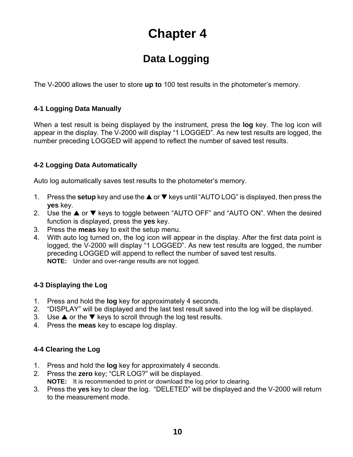### **Data Logging**

The V-2000 allows the user to store **up to** 100 test results in the photometer's memory.

#### **4-1 Logging Data Manually**

When a test result is being displayed by the instrument, press the **log** key. The log icon will appear in the display. The V-2000 will display "1 LOGGED". As new test results are logged, the number preceding LOGGED will append to reflect the number of saved test results.

#### **4-2 Logging Data Automatically**

Auto log automatically saves test results to the photometer's memory.

- 1. Press the **setup** key and use the **▲** or ▼ keys until "AUTO LOG" is displayed, then press the **yes** key.
- 2. Use the  $\triangle$  or  $\nabla$  keys to toggle between "AUTO OFF" and "AUTO ON". When the desired function is displayed, press the **yes** key.
- 3. Press the **meas** key to exit the setup menu.
- 4. With auto log turned on, the log icon will appear in the display. After the first data point is logged, the V-2000 will display "1 LOGGED". As new test results are logged, the number preceding LOGGED will append to reflect the number of saved test results. **NOTE:** Under and over-range results are not logged.

#### **4-3 Displaying the Log**

- 1. Press and hold the **log** key for approximately 4 seconds.
- 2. "DISPLAY" will be displayed and the last test result saved into the log will be displayed.
- 3. Use  $\triangle$  or the  $\nabla$  keys to scroll through the log test results.
- 4. Press the **meas** key to escape log display.

#### **4-4 Clearing the Log**

- 1. Press and hold the **log** key for approximately 4 seconds.
- 2. Press the **zero** key; "CLR LOG?" will be displayed.
	- **NOTE:** It is recommended to print or download the log prior to clearing.
- 3. Press the **yes** key to clear the log. "DELETED" will be displayed and the V-2000 will return to the measurement mode.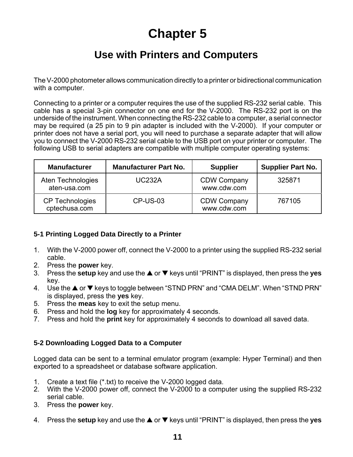### **Use with Printers and Computers**

The V-2000 photometer allows communication directly to a printer or bidirectional communication with a computer.

Connecting to a printer or a computer requires the use of the supplied RS-232 serial cable. This cable has a special 3-pin connector on one end for the V-2000. The RS-232 port is on the underside of the instrument. When connecting the RS-232 cable to a computer, a serial connector may be required (a 25 pin to 9 pin adapter is included with the V-2000). If your computer or printer does not have a serial port, you will need to purchase a separate adapter that will allow you to connect the V-2000 RS-232 serial cable to the USB port on your printer or computer. The following USB to serial adapters are compatible with multiple computer operating systems:

| <b>Manufacturer</b>                     | <b>Manufacturer Part No.</b> | <b>Supplier</b>                   | <b>Supplier Part No.</b> |
|-----------------------------------------|------------------------------|-----------------------------------|--------------------------|
| Aten Technologies<br>aten-usa.com       | <b>UC232A</b>                | <b>CDW Company</b><br>www.cdw.com | 325871                   |
| <b>CP Technologies</b><br>cptechusa.com | <b>CP-US-03</b>              | <b>CDW Company</b><br>www.cdw.com | 767105                   |

#### **5-1 Printing Logged Data Directly to a Printer**

- 1. With the V-2000 power off, connect the V-2000 to a printer using the supplied RS-232 serial cable.
- 2. Press the **power** key.
- 3. Press the **setup** key and use the **▲** or ▼ keys until "PRINT" is displayed, then press the **yes** key.
- 4. Use the  $\triangle$  or  $\nabla$  keys to toggle between "STND PRN" and "CMA DELM". When "STND PRN" is displayed, press the **yes** key.
- 5. Press the **meas** key to exit the setup menu.
- 6. Press and hold the **log** key for approximately 4 seconds.
- 7. Press and hold the **print** key for approximately 4 seconds to download all saved data.

#### **5-2 Downloading Logged Data to a Computer**

Logged data can be sent to a terminal emulator program (example: Hyper Terminal) and then exported to a spreadsheet or database software application.

- 1. Create a text file (\*.txt) to receive the V-2000 logged data.
- 2. With the V-2000 power off, connect the V-2000 to a computer using the supplied RS-232 serial cable.
- 3. Press the **power** key.
- 4. Press the **setup** key and use the **▲** or ▼ keys until "PRINT" is displayed, then press the **yes**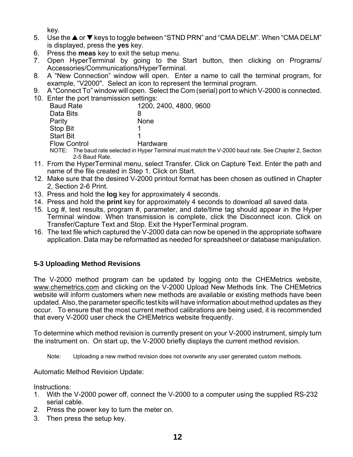key.

- 5. Use the **▲** or ▼ keys to toggle between "STND PRN" and "CMA DELM". When "CMA DELM" is displayed, press the **yes** key.
- 6. Press the **meas** key to exit the setup menu.
- 7. Open HyperTerminal by going to the Start button, then clicking on Programs/ Accessories/Communications/HyperTerminal.
- 8. A "New Connection" window will open. Enter a name to call the terminal program, for example, "V2000". Select an icon to represent the terminal program.
- 9. A "Connect To" window will open. Select the Com (serial) port to which V-2000 is connected.
- 10. Enter the port transmission settings:

| <b>Baud Rate</b>    | 1200, 2400, 4800, 9600                                            |
|---------------------|-------------------------------------------------------------------|
| Data Bits           | 8                                                                 |
| Parity              | <b>None</b>                                                       |
| Stop Bit            |                                                                   |
| <b>Start Bit</b>    |                                                                   |
| <b>Flow Control</b> | Hardware                                                          |
|                     | NOTE: The baud rate selected in Hyper Terminal must match the V-2 |

- 2000 baud rate. See Chapter 2, Section 2-5 Baud Rate.
- 11. From the HyperTerminal menu, select Transfer. Click on Capture Text. Enter the path and name of the file created in Step 1. Click on Start.
- 12. Make sure that the desired V-2000 printout format has been chosen as outlined in Chapter 2, Section 2-6 Print.
- 13. Press and hold the **log** key for approximately 4 seconds.
- 14. Press and hold the **print** key for approximately 4 seconds to download all saved data.
- 15. Log #, test results, program #, parameter, and date/time tag should appear in the Hyper Terminal window. When transmission is complete, click the Disconnect icon. Click on Transfer/Capture Text and Stop. Exit the HyperTerminal program.
- 16. The text file which captured the V-2000 data can now be opened in the appropriate software application. Data may be reformatted as needed for spreadsheet or database manipulation.

#### **5-3 Uploading Method Revisions**

The V-2000 method program can be updated by logging onto the CHEMetrics website, www.chemetrics.com and clicking on the V-2000 Upload New Methods link. The CHEMetrics website will inform customers when new methods are available or existing methods have been updated. Also, the parameter specific test kits will have information about method updates as they occur. To ensure that the most current method calibrations are being used, it is recommended that every V-2000 user check the CHEMetrics website frequently.

To determine which method revision is currently present on your V-2000 instrument, simply turn the instrument on. On start up, the V-2000 briefly displays the current method revision.

Note: Uploading a new method revision does not overwrite any user generated custom methods.

Automatic Method Revision Update:

Instructions:

- 1. With the V-2000 power off, connect the V-2000 to a computer using the supplied RS-232 serial cable.
- 2. Press the power key to turn the meter on.
- 3. Then press the setup key.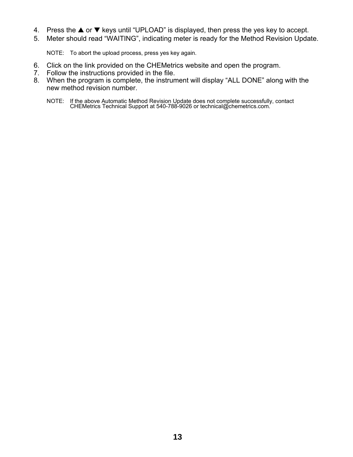- 4. Press the  $\blacktriangle$  or  $\nabla$  keys until "UPLOAD" is displayed, then press the yes key to accept.
- 5. Meter should read "WAITING", indicating meter is ready for the Method Revision Update.

NOTE: To abort the upload process, press yes key again.

- 6. Click on the link provided on the CHEMetrics website and open the program.
- 7. Follow the instructions provided in the file.
- 8. When the program is complete, the instrument will display "ALL DONE" along with the new method revision number.
	- NOTE: If the above Automatic Method Revision Update does not complete successfully, contact CHEMetrics Technical Support at 540-788-9026 or technical@chemetrics.com.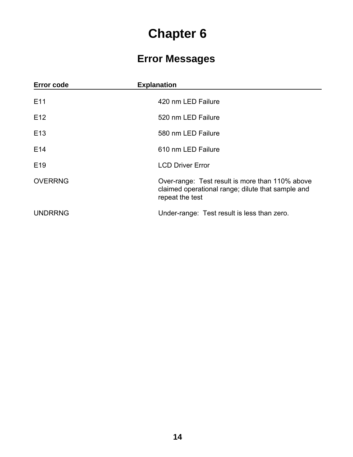### **Error Messages**

| <b>Error code</b> | <b>Explanation</b>                                                                                                      |
|-------------------|-------------------------------------------------------------------------------------------------------------------------|
| E <sub>11</sub>   | 420 nm LED Failure                                                                                                      |
| E <sub>12</sub>   | 520 nm LED Failure                                                                                                      |
| E <sub>13</sub>   | 580 nm LED Failure                                                                                                      |
| E <sub>14</sub>   | 610 nm LED Failure                                                                                                      |
| E <sub>19</sub>   | <b>LCD Driver Error</b>                                                                                                 |
| <b>OVERRNG</b>    | Over-range: Test result is more than 110% above<br>claimed operational range; dilute that sample and<br>repeat the test |
| <b>UNDRRNG</b>    | Under-range: Test result is less than zero.                                                                             |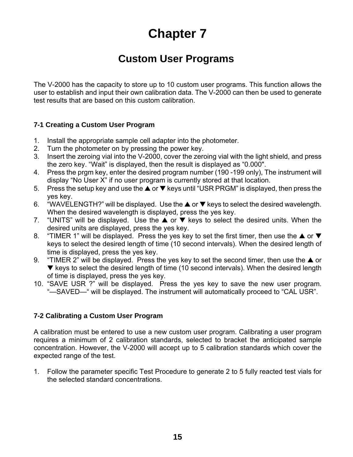### **Custom User Programs**

The V-2000 has the capacity to store up to 10 custom user programs. This function allows the user to establish and input their own calibration data. The V-2000 can then be used to generate test results that are based on this custom calibration.

#### **7-1 Creating a Custom User Program**

- 1. Install the appropriate sample cell adapter into the photometer.
- 2. Turn the photometer on by pressing the power key.
- 3. Insert the zeroing vial into the V-2000, cover the zeroing vial with the light shield, and press the zero key. "Wait" is displayed, then the result is displayed as "0.000".
- 4. Press the prgm key, enter the desired program number (190 -199 only), The instrument will display "No User X" if no user program is currently stored at that location.
- 5. Press the setup key and use the  $\triangle$  or  $\nabla$  keys until "USR PRGM" is displayed, then press the yes key.
- 6. "WAVELENGTH?" will be displayed. Use the  $\blacktriangle$  or  $\nabla$  keys to select the desired wavelength. When the desired wavelength is displayed, press the yes key.
- 7. "UNITS" will be displayed. Use the  $\triangle$  or  $\nabla$  keys to select the desired units. When the desired units are displayed, press the yes key.
- 8. "TIMER 1" will be displayed. Press the yes key to set the first timer, then use the  $\blacktriangle$  or  $\nabla$ keys to select the desired length of time (10 second intervals). When the desired length of time is displayed, press the yes key.
- 9. "TIMER 2" will be displayed. Press the yes key to set the second timer, then use the  $\triangle$  or  $\blacktriangledown$  keys to select the desired length of time (10 second intervals). When the desired length of time is displayed, press the yes key.
- 10. "SAVE USR ?" will be displayed. Press the yes key to save the new user program. "—SAVED—" will be displayed. The instrument will automatically proceed to "CAL USR".

#### **7-2 Calibrating a Custom User Program**

A calibration must be entered to use a new custom user program. Calibrating a user program requires a minimum of 2 calibration standards, selected to bracket the anticipated sample concentration. However, the V-2000 will accept up to 5 calibration standards which cover the expected range of the test.

1. Follow the parameter specific Test Procedure to generate 2 to 5 fully reacted test vials for the selected standard concentrations.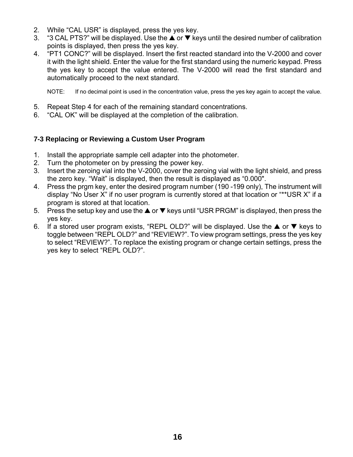- 2. While "CAL USR" is displayed, press the yes key.
- 3. "3 CAL PTS?" will be displayed. Use the  $\triangle$  or  $\nabla$  keys until the desired number of calibration points is displayed, then press the yes key.
- 4. "PT1 CONC?" will be displayed. Insert the first reacted standard into the V-2000 and cover it with the light shield. Enter the value for the first standard using the numeric keypad. Press the yes key to accept the value entered. The V-2000 will read the first standard and automatically proceed to the next standard.

NOTE: If no decimal point is used in the concentration value, press the yes key again to accept the value.

- 5. Repeat Step 4 for each of the remaining standard concentrations.
- 6. "CAL OK" will be displayed at the completion of the calibration.

#### **7-3 Replacing or Reviewing a Custom User Program**

- 1. Install the appropriate sample cell adapter into the photometer.
- 2. Turn the photometer on by pressing the power key.
- 3. Insert the zeroing vial into the V-2000, cover the zeroing vial with the light shield, and press the zero key. "Wait" is displayed, then the result is displayed as "0.000".
- 4. Press the prgm key, enter the desired program number (190 -199 only), The instrument will display "No User X" if no user program is currently stored at that location or "\*\*USR X" if a program is stored at that location.
- 5. Press the setup key and use the  $\triangle$  or  $\nabla$  keys until "USR PRGM" is displayed, then press the yes key.
- 6. If a stored user program exists, "REPL OLD?" will be displayed. Use the  $\triangle$  or  $\nabla$  keys to toggle between "REPL OLD?" and "REVIEW?". To view program settings, press the yes key to select "REVIEW?". To replace the existing program or change certain settings, press the yes key to select "REPL OLD?".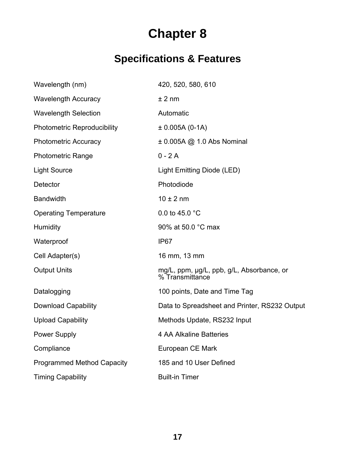## **Specifications & Features**

| Wavelength (nm)                    | 420, 520, 580, 610                                             |
|------------------------------------|----------------------------------------------------------------|
| <b>Wavelength Accuracy</b>         | ± 2 nm                                                         |
| <b>Wavelength Selection</b>        | Automatic                                                      |
| <b>Photometric Reproducibility</b> | $± 0.005A (0-1A)$                                              |
| <b>Photometric Accuracy</b>        | $\pm$ 0.005A @ 1.0 Abs Nominal                                 |
| <b>Photometric Range</b>           | $0 - 2A$                                                       |
| <b>Light Source</b>                | Light Emitting Diode (LED)                                     |
| Detector                           | Photodiode                                                     |
| <b>Bandwidth</b>                   | $10 \pm 2$ nm                                                  |
| <b>Operating Temperature</b>       | 0.0 to 45.0 $^{\circ}$ C                                       |
| Humidity                           | 90% at 50.0 °C max                                             |
| Waterproof                         | IP <sub>67</sub>                                               |
| Cell Adapter(s)                    | 16 mm, 13 mm                                                   |
| <b>Output Units</b>                | mg/L, ppm, µg/L, ppb, g/L, Absorbance, or<br>$%$ Transmittance |
| Datalogging                        | 100 points, Date and Time Tag                                  |
| <b>Download Capability</b>         | Data to Spreadsheet and Printer, RS232 Output                  |
| <b>Upload Capability</b>           | Methods Update, RS232 Input                                    |
| <b>Power Supply</b>                | 4 AA Alkaline Batteries                                        |
| Compliance                         | European CE Mark                                               |
| <b>Programmed Method Capacity</b>  | 185 and 10 User Defined                                        |
| <b>Timing Capability</b>           | <b>Built-in Timer</b>                                          |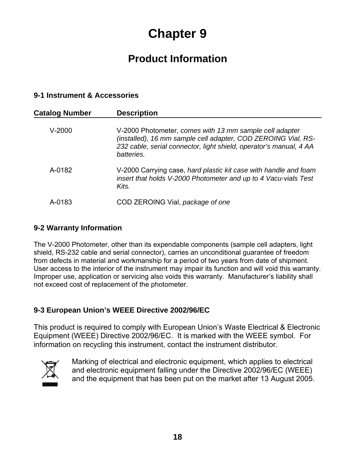### **Product Information**

#### **9-1 Instrument & Accessories**

| <b>Catalog Number</b> | <b>Description</b>                                                                                                                                                                                           |
|-----------------------|--------------------------------------------------------------------------------------------------------------------------------------------------------------------------------------------------------------|
| $V-2000$              | V-2000 Photometer, comes with 13 mm sample cell adapter<br>(installed), 16 mm sample cell adapter, COD ZEROING Vial, RS-<br>232 cable, serial connector, light shield, operator's manual, 4 AA<br>batteries. |
| A-0182                | V-2000 Carrying case, hard plastic kit case with handle and foam<br>insert that holds V-2000 Photometer and up to 4 Vacu-vials Test<br>Kits.                                                                 |
| A-0183                | COD ZEROING Vial, package of one                                                                                                                                                                             |

#### **9-2 Warranty Information**

The V-2000 Photometer, other than its expendable components (sample cell adapters, light shield, RS-232 cable and serial connector), carries an unconditional guarantee of freedom from defects in material and workmanship for a period of two years from date of shipment. User access to the interior of the instrument may impair its function and will void this warranty. Improper use, application or servicing also voids this warranty. Manufacturer's liability shall not exceed cost of replacement of the photometer.

#### **9-3 European Union's WEEE Directive 2002/96/EC**

This product is required to comply with European Union's Waste Electrical & Electronic Equipment (WEEE) Directive 2002/96/EC. It is marked with the WEEE symbol. For information on recycling this instrument, contact the instrument distributor.



Marking of electrical and electronic equipment, which applies to electrical and electronic equipment falling under the Directive 2002/96/EC (WEEE) and the equipment that has been put on the market after 13 August 2005.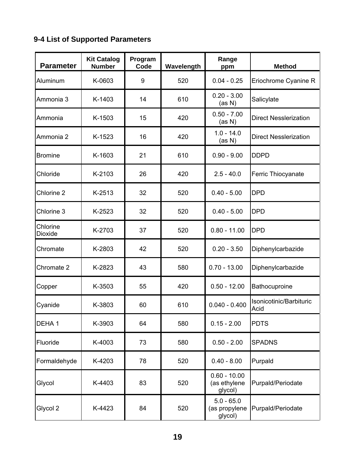### **9-4 List of Supported Parameters**

| <b>Parameter</b>    | <b>Kit Catalog</b><br><b>Number</b> | Program<br>Code | Wavelength | Range<br>ppm                              | <b>Method</b>                   |
|---------------------|-------------------------------------|-----------------|------------|-------------------------------------------|---------------------------------|
| Aluminum            | K-0603                              | 9               | 520        | $0.04 - 0.25$                             | Eriochrome Cyanine R            |
| Ammonia 3           | K-1403                              | 14              | 610        | $0.20 - 3.00$<br>(as N)                   | Salicylate                      |
| Ammonia             | K-1503                              | 15              | 420        | $0.50 - 7.00$<br>(as N)                   | <b>Direct Nesslerization</b>    |
| Ammonia 2           | K-1523                              | 16              | 420        | $1.0 - 14.0$<br>(as N)                    | <b>Direct Nesslerization</b>    |
| <b>Bromine</b>      | K-1603                              | 21              | 610        | $0.90 - 9.00$                             | <b>DDPD</b>                     |
| Chloride            | K-2103                              | 26              | 420        | $2.5 - 40.0$                              | Ferric Thiocyanate              |
| Chlorine 2          | K-2513                              | 32              | 520        | $0.40 - 5.00$                             | <b>DPD</b>                      |
| Chlorine 3          | K-2523                              | 32              | 520        | $0.40 - 5.00$                             | <b>DPD</b>                      |
| Chlorine<br>Dioxide | K-2703                              | 37              | 520        | $0.80 - 11.00$                            | <b>DPD</b>                      |
| Chromate            | K-2803                              | 42              | 520        | $0.20 - 3.50$                             | Diphenylcarbazide               |
| Chromate 2          | K-2823                              | 43              | 580        | $0.70 - 13.00$                            | Diphenylcarbazide               |
| Copper              | K-3503                              | 55              | 420        | $0.50 - 12.00$                            | Bathocuproine                   |
| Cyanide             | K-3803                              | 60              | 610        | $0.040 - 0.400$                           | Isonicotinic/Barbituric<br>Acid |
| DEHA1               | K-3903                              | 64              | 580        | $0.15 - 2.00$                             | <b>PDTS</b>                     |
| Fluoride            | K-4003                              | 73              | 580        | $0.50 - 2.00$                             | <b>SPADNS</b>                   |
| Formaldehyde        | K-4203                              | 78              | 520        | $0.40 - 8.00$                             | Purpald                         |
| Glycol              | K-4403                              | 83              | 520        | $0.60 - 10.00$<br>(as ethylene<br>glycol) | Purpald/Periodate               |
| Glycol 2            | K-4423                              | 84              | 520        | $5.0 - 65.0$<br>(as propylene<br>glycol)  | Purpald/Periodate               |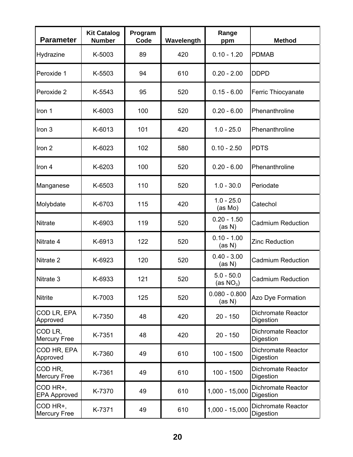| <b>Parameter</b>                | <b>Kit Catalog</b><br><b>Number</b> | Program<br>Code | Wavelength | Range<br>ppm                 | <b>Method</b>                          |
|---------------------------------|-------------------------------------|-----------------|------------|------------------------------|----------------------------------------|
| Hydrazine                       | K-5003                              | 89              | 420        | $0.10 - 1.20$                | <b>PDMAB</b>                           |
| Peroxide 1                      | K-5503                              | 94              | 610        | $0.20 - 2.00$                | <b>DDPD</b>                            |
| Peroxide 2                      | K-5543                              | 95              | 520        | $0.15 - 6.00$                | Ferric Thiocyanate                     |
| Iron 1                          | K-6003                              | 100             | 520        | $0.20 - 6.00$                | Phenanthroline                         |
| Iron 3                          | K-6013                              | 101             | 420        | $1.0 - 25.0$                 | Phenanthroline                         |
| Iron 2                          | K-6023                              | 102             | 580        | $0.10 - 2.50$                | <b>PDTS</b>                            |
| Iron 4                          | K-6203                              | 100             | 520        | $0.20 - 6.00$                | Phenanthroline                         |
| Manganese                       | K-6503                              | 110             | 520        | $1.0 - 30.0$                 | Periodate                              |
| Molybdate                       | K-6703                              | 115             | 420        | $1.0 - 25.0$<br>(as Mo)      | Catechol                               |
| <b>Nitrate</b>                  | K-6903                              | 119             | 520        | $0.20 - 1.50$<br>(as N)      | <b>Cadmium Reduction</b>               |
| Nitrate 4                       | K-6913                              | 122             | 520        | $0.10 - 1.00$<br>(as N)      | <b>Zinc Reduction</b>                  |
| Nitrate 2                       | K-6923                              | 120             | 520        | $0.40 - 3.00$<br>(as N)      | <b>Cadmium Reduction</b>               |
| Nitrate 3                       | K-6933                              | 121             | 520        | $5.0 - 50.0$<br>(as $NO_3$ ) | <b>Cadmium Reduction</b>               |
| <b>Nitrite</b>                  | K-7003                              | 125             | 520        | $0.080 - 0.800$<br>(as N)    | Azo Dye Formation                      |
| COD LR, EPA<br>Approved         | K-7350                              | 48              | 420        | $20 - 150$                   | Dichromate Reactor<br>Digestion        |
| COD LR,<br><b>Mercury Free</b>  | K-7351                              | 48              | 420        | $20 - 150$                   | <b>Dichromate Reactor</b><br>Digestion |
| COD HR, EPA<br>Approved         | K-7360                              | 49              | 610        | $100 - 1500$                 | <b>Dichromate Reactor</b><br>Digestion |
| COD HR,<br><b>Mercury Free</b>  | K-7361                              | 49              | 610        | $100 - 1500$                 | <b>Dichromate Reactor</b><br>Digestion |
| COD HR+,<br><b>EPA Approved</b> | K-7370                              | 49              | 610        | 1,000 - 15,000               | <b>Dichromate Reactor</b><br>Digestion |
| COD HR+,<br><b>Mercury Free</b> | K-7371                              | 49              | 610        | 1,000 - 15,000               | Dichromate Reactor<br>Digestion        |